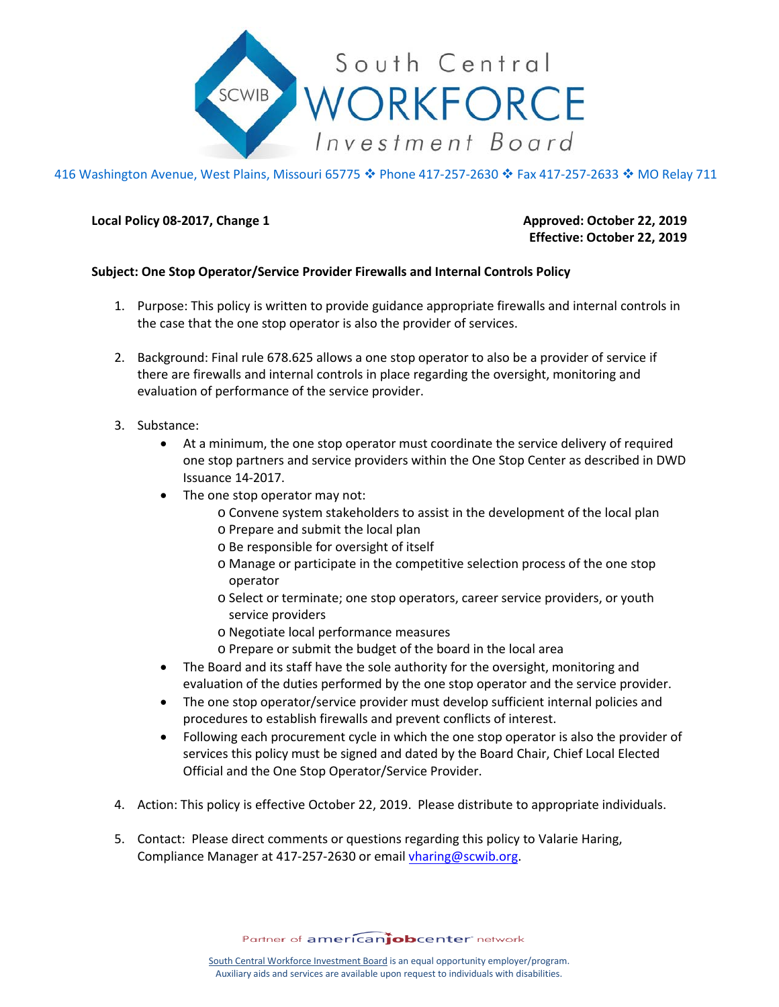

416 Washington Avenue, West Plains, Missouri 65775 ♦ Phone 417-257-2630 ♦ Fax 417-257-2633 ♦ MO Relay 711

## **Local Policy 08-2017, Change 1 Approved: October 22, 2019**

 **Effective: October 22, 2019**

## **Subject: One Stop Operator/Service Provider Firewalls and Internal Controls Policy**

- 1. Purpose: This policy is written to provide guidance appropriate firewalls and internal controls in the case that the one stop operator is also the provider of services.
- 2. Background: Final rule 678.625 allows a one stop operator to also be a provider of service if there are firewalls and internal controls in place regarding the oversight, monitoring and evaluation of performance of the service provider.
- 3. Substance:
	- At a minimum, the one stop operator must coordinate the service delivery of required one stop partners and service providers within the One Stop Center as described in DWD Issuance 14-2017.
	- The one stop operator may not:
		- o Convene system stakeholders to assist in the development of the local plan
		- o Prepare and submit the local plan
		- o Be responsible for oversight of itself
		- o Manage or participate in the competitive selection process of the one stop operator
		- o Select or terminate; one stop operators, career service providers, or youth service providers
		- o Negotiate local performance measures
		- o Prepare or submit the budget of the board in the local area
	- The Board and its staff have the sole authority for the oversight, monitoring and evaluation of the duties performed by the one stop operator and the service provider.
	- The one stop operator/service provider must develop sufficient internal policies and procedures to establish firewalls and prevent conflicts of interest.
	- Following each procurement cycle in which the one stop operator is also the provider of services this policy must be signed and dated by the Board Chair, Chief Local Elected Official and the One Stop Operator/Service Provider.
- 4. Action: This policy is effective October 22, 2019. Please distribute to appropriate individuals.
- 5. Contact: Please direct comments or questions regarding this policy to Valarie Haring, Compliance Manager at 417-257-2630 or email [vharing@scwib.org.](mailto:vharing@scwib.org)

Partner of americanjobcenter network